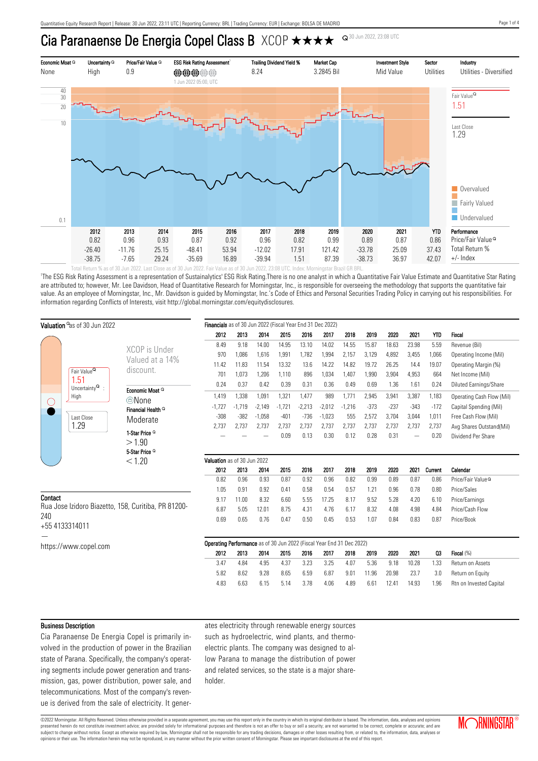# Cia Paranaense De Energia Copel Class B XCOP  $\star \star \star \star$



'The ESG Risk Rating Assessment is a representation of Sustainalytics' ESG Risk Rating.There is no one analyst in which a Quantitative Fair Value Estimate and Quantitative Star Rating are attributed to; however, Mr. Lee Davidson, Head of Quantitative Research for Morningstar, Inc., is responsible for overseeing the methodology that supports the quantitative fair value. As an employee of Morningstar, Inc., Mr. Davidson is guided by Morningstar, Inc.'s Code of Ethics and Personal Securities Trading Policy in carrying out his responsibilities. For information regarding Conflicts of Interests, visit http://global.morningstar.com/equitydisclosures.

| Valuation as of 30 Jun 2022                         |                                                                                                |                                                    | Financials as of 30 Jun 2022 (Fiscal Year End 31 Dec 2022)            |          |          |          |          |          |          |        |        |        |            |                               |
|-----------------------------------------------------|------------------------------------------------------------------------------------------------|----------------------------------------------------|-----------------------------------------------------------------------|----------|----------|----------|----------|----------|----------|--------|--------|--------|------------|-------------------------------|
|                                                     |                                                                                                |                                                    | 2012                                                                  | 2013     | 2014     | 2015     | 2016     | 2017     | 2018     | 2019   | 2020   | 2021   | <b>YTD</b> | Fiscal                        |
|                                                     |                                                                                                | XCOP is Under                                      | 8.49                                                                  | 9.18     | 14.00    | 14.95    | 13.10    | 14.02    | 14.55    | 15.87  | 18.63  | 23.98  | 5.59       | Revenue (Bil)                 |
|                                                     |                                                                                                | Valued at a 14%                                    | 970                                                                   | 1,086    | 1,616    | 1,991    | 1,782    | 1,994    | 2,157    | 3,129  | 4,892  | 3,455  | 1,066      | Operating Income (Mil)        |
|                                                     |                                                                                                |                                                    | 11.42                                                                 | 11.83    | 11.54    | 13.32    | 13.6     | 14.22    | 14.82    | 19.72  | 26.25  | 14.4   | 19.07      | Operating Margin (%)          |
| $\left(\right)$                                     | Fair Value <sup>Q</sup><br>1.51<br>Uncertainty $^{\mathsf{Q}}$ :<br>High<br>Last Close<br>1.29 | discount.                                          | 701                                                                   | 1,073    | 1,206    | 1,110    | 896      | 1,034    | 1,407    | 1,990  | 3,904  | 4,953  | 664        | Net Income (Mil)              |
|                                                     |                                                                                                | Economic Moat Q                                    | 0.24                                                                  | 0.37     | 0.42     | 0.39     | 0.31     | 0.36     | 0.49     | 0.69   | 1.36   | 1.61   | 0.24       | Diluted Earnings/Share        |
|                                                     |                                                                                                | ©None<br>Financial Health <sup>Q</sup><br>Moderate | 1,419                                                                 | 1,338    | 1,091    | 1,321    | 1,477    | 989      | 1,771    | 2,945  | 3,941  | 3,387  | 1,183      | Operating Cash Flow (Mil)     |
|                                                     |                                                                                                |                                                    | $-1,727$                                                              | $-1.719$ | $-2,149$ | $-1,721$ | $-2,213$ | $-2,012$ | $-1,216$ | $-373$ | $-237$ | $-343$ | $-172$     | Capital Spending (Mil)        |
|                                                     |                                                                                                |                                                    | $-308$                                                                | $-382$   | $-1,058$ | $-401$   | $-736$   | $-1,023$ | 555      | 2,572  | 3,704  | 3,044  | 1,011      | Free Cash Flow (Mil)          |
|                                                     |                                                                                                |                                                    | 2,737                                                                 | 2,737    | 2,737    | 2,737    | 2,737    | 2,737    | 2,737    | 2,737  | 2,737  | 2,737  | 2,737      | Avg Shares Outstand(Mil)      |
|                                                     |                                                                                                | 1-Star Price <sup>Q</sup>                          |                                                                       |          |          | 0.09     | 0.13     | 0.30     | 0.12     | 0.28   | 0.31   |        | 0.20       | Dividend Per Share            |
|                                                     |                                                                                                | >1.90                                              |                                                                       |          |          |          |          |          |          |        |        |        |            |                               |
|                                                     |                                                                                                | 5-Star Price <sup>Q</sup>                          |                                                                       |          |          |          |          |          |          |        |        |        |            |                               |
|                                                     |                                                                                                | < 1.20                                             | Valuation as of 30 Jun 2022                                           |          |          |          |          | 2017     |          |        |        |        |            |                               |
|                                                     |                                                                                                |                                                    | 2012                                                                  | 2013     | 2014     | 2015     | 2016     |          | 2018     | 2019   | 2020   | 2021   | Current    | Calendar                      |
|                                                     |                                                                                                |                                                    | 0.82                                                                  | 0.96     | 0.93     | 0.87     | 0.92     | 0.96     | 0.82     | 0.99   | 0.89   | 0.87   | 0.86       | Price/Fair Value <sup>Q</sup> |
|                                                     |                                                                                                |                                                    | 1.05                                                                  | 0.91     | 0.92     | 0.41     | 0.58     | 0.54     | 0.57     | 1.21   | 0.96   | 0.78   | 0.80       | Price/Sales                   |
| Contact                                             |                                                                                                |                                                    | 9.17                                                                  | 11.00    | 8.32     | 6.60     | 5.55     | 17.25    | 8.17     | 9.52   | 5.28   | 4.20   | 6.10       | Price/Earnings                |
| Rua Jose Izidoro Biazetto, 158, Curitiba, PR 81200- |                                                                                                |                                                    | 6.87                                                                  | 5.05     | 12.01    | 8.75     | 4.31     | 4.76     | 6.17     | 8.32   | 4.08   | 4.98   | 4.84       | Price/Cash Flow               |
| 240                                                 | +55 4133314011                                                                                 |                                                    | 0.69                                                                  | 0.65     | 0.76     | 0.47     | 0.50     | 0.45     | 0.53     | 1.07   | 0.84   | 0.83   | 0.87       | Price/Book                    |
|                                                     | https://www.copel.com                                                                          |                                                    | Operating Performance as of 30 Jun 2022 (Fiscal Year End 31 Dec 2022) |          |          |          |          |          |          |        |        |        |            |                               |
|                                                     |                                                                                                |                                                    | 2012                                                                  | 2013     | 2014     | 2015     | 2016     | 2017     | 2018     | 2019   | 2020   | 2021   | Q3         | Fiscal (%)                    |
|                                                     |                                                                                                |                                                    | 3.47                                                                  | 4.84     | 4.95     | 4.37     | 3.23     | 3.25     | 4.07     | 5.36   | 9.18   | 10.28  | 1.33       | Return on Assets              |
|                                                     |                                                                                                |                                                    | 5.82                                                                  | 8.62     | 9.28     | 8.65     | 6.59     | 6.87     | 9.01     | 11.96  | 20.98  | 23.7   | 3.0        | Return on Equity              |
|                                                     |                                                                                                |                                                    | 4.83                                                                  | 6.63     | 6.15     | 5.14     | 3.78     | 4.06     | 4.89     | 6.61   | 12.41  | 14.93  | 1.96       | Rtn on Invested Capital       |
|                                                     |                                                                                                |                                                    |                                                                       |          |          |          |          |          |          |        |        |        |            |                               |

#### Business Description

Cia Paranaense De Energia Copel is primarily involved in the production of power in the Brazilian state of Parana. Specifically, the company's operating segments include power generation and transmission, gas, power distribution, power sale, and telecommunications. Most of the company's revenue is derived from the sale of electricity. It generates electricity through renewable energy sources such as hydroelectric, wind plants, and thermoelectric plants. The company was designed to allow Parana to manage the distribution of power and related services, so the state is a major shareholder.

©2022 Morningstar. All Rights Reserved. Unless otherwise provided in a separate agreement, you may use this report only in the country in which its original distributor is based. The information, data, analyses and opinions presented herein do not constitute investment advice; are provided solely for informational purposes and therefore is not an offer to buy or sell a security; are not warranted to be correct, complete or accurate; and are subject to change without notice. Except as otherwise required by law, Morningstar shall not be responsible for any trading decisions, damages or other losses resulting from, or related to, the information, data, analyses opinions or their use. The information herein may not be reproduced, in any manner without the prior written consent of Morningstar. Please see important disclosures at the end of this report.

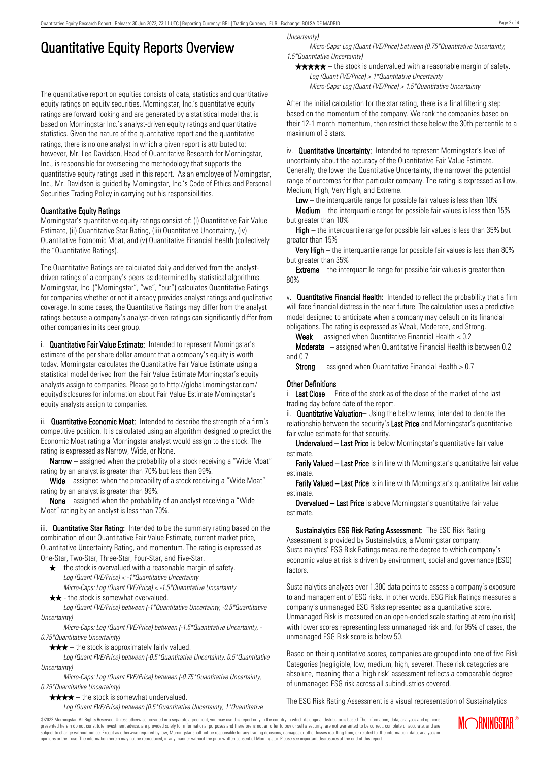## Quantitative Equity Reports Overview

The quantitative report on equities consists of data, statistics and quantitative equity ratings on equity securities. Morningstar, Inc.'s quantitative equity ratings are forward looking and are generated by a statistical model that is based on Morningstar Inc.'s analyst-driven equity ratings and quantitative statistics. Given the nature of the quantitative report and the quantitative ratings, there is no one analyst in which a given report is attributed to; however, Mr. Lee Davidson, Head of Quantitative Research for Morningstar, Inc., is responsible for overseeing the methodology that supports the quantitative equity ratings used in this report. As an employee of Morningstar, Inc., Mr. Davidson is guided by Morningstar, Inc.'s Code of Ethics and Personal Securities Trading Policy in carrying out his responsibilities.

### Quantitative Equity Ratings

Morningstar's quantitative equity ratings consist of: (i) Quantitative Fair Value Estimate, (ii) Quantitative Star Rating, (iii) Quantitative Uncertainty, (iv) Quantitative Economic Moat, and (v) Quantitative Financial Health (collectively the "Quantitative Ratings).

The Quantitative Ratings are calculated daily and derived from the analystdriven ratings of a company's peers as determined by statistical algorithms. Morningstar, Inc. ("Morningstar", "we", "our") calculates Quantitative Ratings for companies whether or not it already provides analyst ratings and qualitative coverage. In some cases, the Quantitative Ratings may differ from the analyst ratings because a company's analyst-driven ratings can significantly differ from other companies in its peer group.

i. **Quantitative Fair Value Estimate:** Intended to represent Morningstar's estimate of the per share dollar amount that a company's equity is worth today. Morningstar calculates the Quantitative Fair Value Estimate using a statistical model derived from the Fair Value Estimate Morningstar's equity analysts assign to companies. Please go to http://global.morningstar.com/ equitydisclosures for information about Fair Value Estimate Morningstar's equity analysts assign to companies.

ii. **Quantitative Economic Moat:** Intended to describe the strength of a firm's competitive position. It is calculated using an algorithm designed to predict the Economic Moat rating a Morningstar analyst would assign to the stock. The rating is expressed as Narrow, Wide, or None.

**Narrow** – assigned when the probability of a stock receiving a "Wide Moat" rating by an analyst is greater than 70% but less than 99%.

Wide – assigned when the probability of a stock receiving a "Wide Moat" rating by an analyst is greater than 99%.

None – assigned when the probability of an analyst receiving a "Wide Moat" rating by an analyst is less than 70%.

iii. **Quantitative Star Rating:** Intended to be the summary rating based on the combination of our Quantitative Fair Value Estimate, current market price, Quantitative Uncertainty Rating, and momentum. The rating is expressed as One-Star, Two-Star, Three-Star, Four-Star, and Five-Star.

- $\star$  the stock is overvalued with a reasonable margin of safety. Log (Quant FVE/Price) < -1\*Quantitative Uncertainty
- Micro-Caps: Log (Quant FVE/Price) < -1.5\*Quantitative Uncertainty  $\star \star$  - the stock is somewhat overvalued.

Log (Quant FVE/Price) between (-1\*Quantitative Uncertainty, -0.5\*Quantitative Uncertainty)

Micro-Caps: Log (Quant FVE/Price) between (-1.5\*Quantitative Uncertainty, - 0.75\*Quantitative Uncertainty)

 $\star \star \star$  – the stock is approximately fairly valued.

Log (Quant FVE/Price) between (-0.5\*Quantitative Uncertainty, 0.5\*Quantitative Uncertainty)

Micro-Caps: Log (Quant FVE/Price) between (-0.75\*Quantitative Uncertainty, 0.75\*Quantitative Uncertainty)

 $\star \star \star \star$  – the stock is somewhat undervalued.

Log (Quant FVE/Price) between (0.5\*Quantitative Uncertainty, 1\*Quantitative

Uncertainty)

Micro-Caps: Log (Quant FVE/Price) between (0.75\*Quantitative Uncertainty, 1.5\*Quantitative Uncertainty)

 $\star \star \star \star$  – the stock is undervalued with a reasonable margin of safety. Log (Quant FVE/Price) > 1\*Quantitative Uncertainty

Micro-Caps: Log (Quant FVE/Price) > 1.5\*Quantitative Uncertainty

After the initial calculation for the star rating, there is a final filtering step based on the momentum of the company. We rank the companies based on their 12-1 month momentum, then restrict those below the 30th percentile to a maximum of 3 stars.

iv. **Quantitative Uncertainty:** Intended to represent Morningstar's level of uncertainty about the accuracy of the Quantitative Fair Value Estimate. Generally, the lower the Quantitative Uncertainty, the narrower the potential range of outcomes for that particular company. The rating is expressed as Low, Medium, High, Very High, and Extreme.

**Low** – the interguartile range for possible fair values is less than  $10\%$ 

**Medium** – the interquartile range for possible fair values is less than  $15\%$ but greater than 10%

High – the interquartile range for possible fair values is less than 35% but greater than 15%

Very High – the interquartile range for possible fair values is less than 80% but greater than 35%

**Extreme** – the interquartile range for possible fair values is greater than 80%

v. Quantitative Financial Health: Intended to reflect the probability that a firm will face financial distress in the near future. The calculation uses a predictive model designed to anticipate when a company may default on its financial obligations. The rating is expressed as Weak, Moderate, and Strong.

**Weak**  $-$  assigned when Quantitative Financial Health  $< 0.2$ 

Moderate – assigned when Quantitative Financial Health is between 0.2 and 0.7

**Strong** – assigned when Quantitative Financial Health  $> 0.7$ 

#### Other Definitions

i. Last Close  $-$  Price of the stock as of the close of the market of the last trading day before date of the report.

ii. **Quantitative Valuation**– Using the below terms, intended to denote the relationship between the security's Last Price and Morningstar's quantitative fair value estimate for that security.

Undervalued – Last Price is below Morningstar's quantitative fair value estimate.

Farily Valued – Last Price is in line with Morningstar's quantitative fair value estimate.

Farily Valued – Last Price is in line with Morningstar's quantitative fair value estimate.

Overvalued – Last Price is above Morningstar's quantitative fair value estimate.

Sustainalytics ESG Risk Rating Assessment: The ESG Risk Rating Assessment is provided by Sustainalytics; a Morningstar company. Sustainalytics' ESG Risk Ratings measure the degree to which company's economic value at risk is driven by environment, social and governance (ESG) factors.

Sustainalytics analyzes over 1,300 data points to assess a company's exposure to and management of ESG risks. In other words, ESG Risk Ratings measures a company's unmanaged ESG Risks represented as a quantitative score. Unmanaged Risk is measured on an open-ended scale starting at zero (no risk) with lower scores representing less unmanaged risk and, for 95% of cases, the unmanaged ESG Risk score is below 50.

Based on their quantitative scores, companies are grouped into one of five Risk Categories (negligible, low, medium, high, severe). These risk categories are absolute, meaning that a 'high risk' assessment reflects a comparable degree of unmanaged ESG risk across all subindustries covered.

The ESG Risk Rating Assessment is a visual representation of Sustainalytics

©2022 Morningstar. All Rights Reserved. Unless otherwise provided in a separate agreement, you may use this report only in the country in which its original distributor is based. The information, data, analyses and opinions presented herein do not constitute investment advice; are provided solely for informational purposes and therefore is not an offer to buy or sell a security; are not warranted to be correct, complete or accurate; and are subject to change without notice. Except as otherwise required by law, Morningstar shall not be responsible for any trading decisions, damages or other losses resulting from, or related to, the information, data, analyses or opinions or their use. The information herein may not be reproduced, in any manner without the prior written consent of Morningstar. Please see important disclosures at the end of this report.

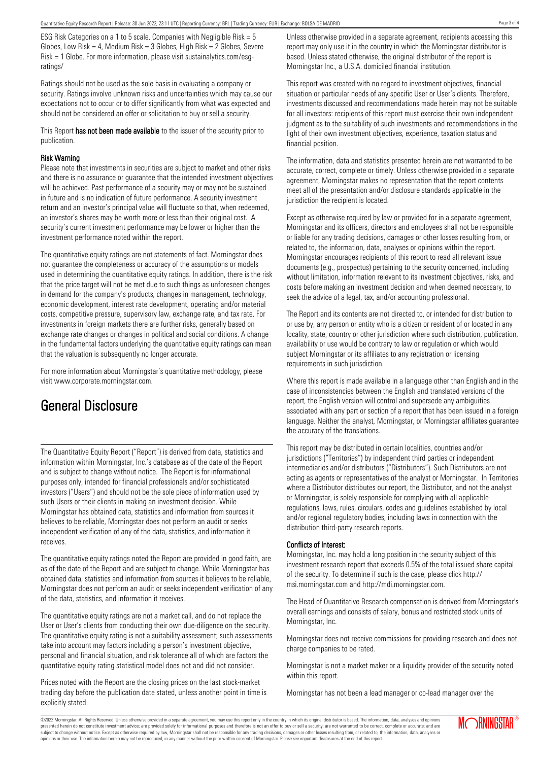ESG Risk Categories on a 1 to 5 scale. Companies with Negligible Risk = 5 Globes, Low Risk = 4, Medium Risk =  $3$  Globes, High Risk =  $2$  Globes, Severe Risk = 1 Globe. For more information, please visit sustainalytics.com/esgratings/

Ratings should not be used as the sole basis in evaluating a company or security. Ratings involve unknown risks and uncertainties which may cause our expectations not to occur or to differ significantly from what was expected and should not be considered an offer or solicitation to buy or sell a security.

This Report has not been made available to the issuer of the security prior to publication.

#### Risk Warning

Please note that investments in securities are subject to market and other risks and there is no assurance or guarantee that the intended investment objectives will be achieved. Past performance of a security may or may not be sustained in future and is no indication of future performance. A security investment return and an investor's principal value will fluctuate so that, when redeemed, an investor's shares may be worth more or less than their original cost. A security's current investment performance may be lower or higher than the investment performance noted within the report.

The quantitative equity ratings are not statements of fact. Morningstar does not guarantee the completeness or accuracy of the assumptions or models used in determining the quantitative equity ratings. In addition, there is the risk that the price target will not be met due to such things as unforeseen changes in demand for the company's products, changes in management, technology, economic development, interest rate development, operating and/or material costs, competitive pressure, supervisory law, exchange rate, and tax rate. For investments in foreign markets there are further risks, generally based on exchange rate changes or changes in political and social conditions. A change in the fundamental factors underlying the quantitative equity ratings can mean that the valuation is subsequently no longer accurate.

For more information about Morningstar's quantitative methodology, please visit www.corporate.morningstar.com.

## General Disclosure

The Quantitative Equity Report ("Report") is derived from data, statistics and information within Morningstar, Inc.'s database as of the date of the Report and is subject to change without notice. The Report is for informational purposes only, intended for financial professionals and/or sophisticated investors ("Users") and should not be the sole piece of information used by such Users or their clients in making an investment decision. While Morningstar has obtained data, statistics and information from sources it believes to be reliable, Morningstar does not perform an audit or seeks independent verification of any of the data, statistics, and information it receives.

The quantitative equity ratings noted the Report are provided in good faith, are as of the date of the Report and are subject to change. While Morningstar has obtained data, statistics and information from sources it believes to be reliable, Morningstar does not perform an audit or seeks independent verification of any of the data, statistics, and information it receives.

The quantitative equity ratings are not a market call, and do not replace the User or User's clients from conducting their own due-diligence on the security. The quantitative equity rating is not a suitability assessment; such assessments take into account may factors including a person's investment objective, personal and financial situation, and risk tolerance all of which are factors the quantitative equity rating statistical model does not and did not consider.

Prices noted with the Report are the closing prices on the last stock-market trading day before the publication date stated, unless another point in time is explicitly stated.

Unless otherwise provided in a separate agreement, recipients accessing this report may only use it in the country in which the Morningstar distributor is based. Unless stated otherwise, the original distributor of the report is Morningstar Inc., a U.S.A. domiciled financial institution.

This report was created with no regard to investment objectives, financial situation or particular needs of any specific User or User's clients. Therefore, investments discussed and recommendations made herein may not be suitable for all investors: recipients of this report must exercise their own independent judgment as to the suitability of such investments and recommendations in the light of their own investment objectives, experience, taxation status and financial position.

The information, data and statistics presented herein are not warranted to be accurate, correct, complete or timely. Unless otherwise provided in a separate agreement, Morningstar makes no representation that the report contents meet all of the presentation and/or disclosure standards applicable in the jurisdiction the recipient is located.

Except as otherwise required by law or provided for in a separate agreement, Morningstar and its officers, directors and employees shall not be responsible or liable for any trading decisions, damages or other losses resulting from, or related to, the information, data, analyses or opinions within the report. Morningstar encourages recipients of this report to read all relevant issue documents (e.g., prospectus) pertaining to the security concerned, including without limitation, information relevant to its investment objectives, risks, and costs before making an investment decision and when deemed necessary, to seek the advice of a legal, tax, and/or accounting professional.

The Report and its contents are not directed to, or intended for distribution to or use by, any person or entity who is a citizen or resident of or located in any locality, state, country or other jurisdiction where such distribution, publication, availability or use would be contrary to law or regulation or which would subject Morningstar or its affiliates to any registration or licensing requirements in such jurisdiction.

Where this report is made available in a language other than English and in the case of inconsistencies between the English and translated versions of the report, the English version will control and supersede any ambiguities associated with any part or section of a report that has been issued in a foreign language. Neither the analyst, Morningstar, or Morningstar affiliates guarantee the accuracy of the translations.

This report may be distributed in certain localities, countries and/or jurisdictions ("Territories") by independent third parties or independent intermediaries and/or distributors ("Distributors"). Such Distributors are not acting as agents or representatives of the analyst or Morningstar. In Territories where a Distributor distributes our report, the Distributor, and not the analyst or Morningstar, is solely responsible for complying with all applicable regulations, laws, rules, circulars, codes and guidelines established by local and/or regional regulatory bodies, including laws in connection with the distribution third-party research reports.

### Conflicts of Interest:

Morningstar, Inc. may hold a long position in the security subject of this investment research report that exceeds 0.5% of the total issued share capital of the security. To determine if such is the case, please click http:// msi.morningstar.com and http://mdi.morningstar.com.

The Head of Quantitative Research compensation is derived from Morningstar's overall earnings and consists of salary, bonus and restricted stock units of Morningstar, Inc.

Morningstar does not receive commissions for providing research and does not charge companies to be rated.

Morningstar is not a market maker or a liquidity provider of the security noted within this report.

Morningstar has not been a lead manager or co-lead manager over the